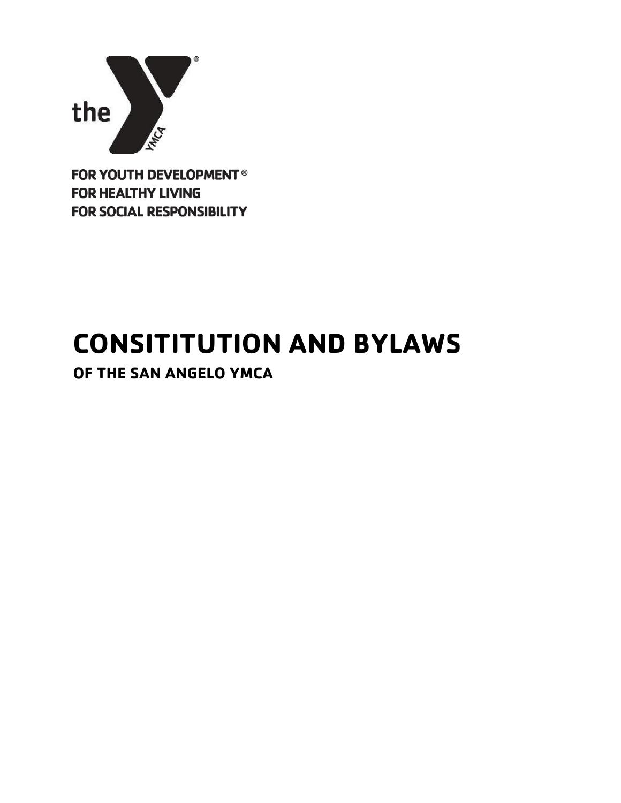

**FOR YOUTH DEVELOPMENT® FOR HEALTHY LIVING FOR SOCIAL RESPONSIBILITY** 

# **CONSITITUTION AND BYLAWS**

**OF THE SAN ANGELO YMCA**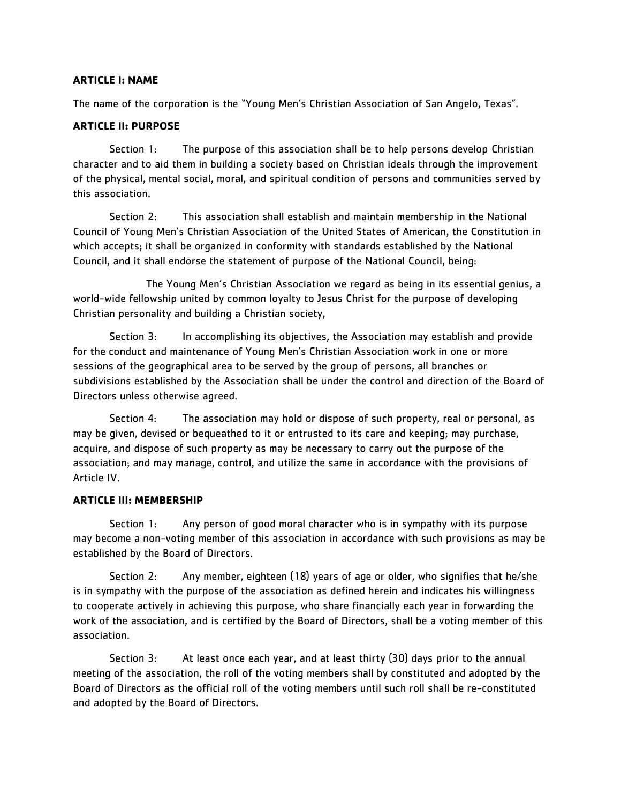#### **ARTICLE I: NAME**

The name of the corporation is the "Young Men's Christian Association of San Angelo, Texas".

# **ARTICLE II: PURPOSE**

Section 1: The purpose of this association shall be to help persons develop Christian character and to aid them in building a society based on Christian ideals through the improvement of the physical, mental social, moral, and spiritual condition of persons and communities served by this association.

Section 2: This association shall establish and maintain membership in the National Council of Young Men's Christian Association of the United States of American, the Constitution in which accepts; it shall be organized in conformity with standards established by the National Council, and it shall endorse the statement of purpose of the National Council, being:

The Young Men's Christian Association we regard as being in its essential genius, a world-wide fellowship united by common loyalty to Jesus Christ for the purpose of developing Christian personality and building a Christian society,

Section 3: In accomplishing its objectives, the Association may establish and provide for the conduct and maintenance of Young Men's Christian Association work in one or more sessions of the geographical area to be served by the group of persons, all branches or subdivisions established by the Association shall be under the control and direction of the Board of Directors unless otherwise agreed.

Section 4: The association may hold or dispose of such property, real or personal, as may be given, devised or bequeathed to it or entrusted to its care and keeping; may purchase, acquire, and dispose of such property as may be necessary to carry out the purpose of the association; and may manage, control, and utilize the same in accordance with the provisions of Article IV.

#### **ARTICLE III: MEMBERSHIP**

Section 1: Any person of good moral character who is in sympathy with its purpose may become a non-voting member of this association in accordance with such provisions as may be established by the Board of Directors.

Section 2: Any member, eighteen (18) years of age or older, who signifies that he/she is in sympathy with the purpose of the association as defined herein and indicates his willingness to cooperate actively in achieving this purpose, who share financially each year in forwarding the work of the association, and is certified by the Board of Directors, shall be a voting member of this association.

Section 3: At least once each year, and at least thirty (30) days prior to the annual meeting of the association, the roll of the voting members shall by constituted and adopted by the Board of Directors as the official roll of the voting members until such roll shall be re-constituted and adopted by the Board of Directors.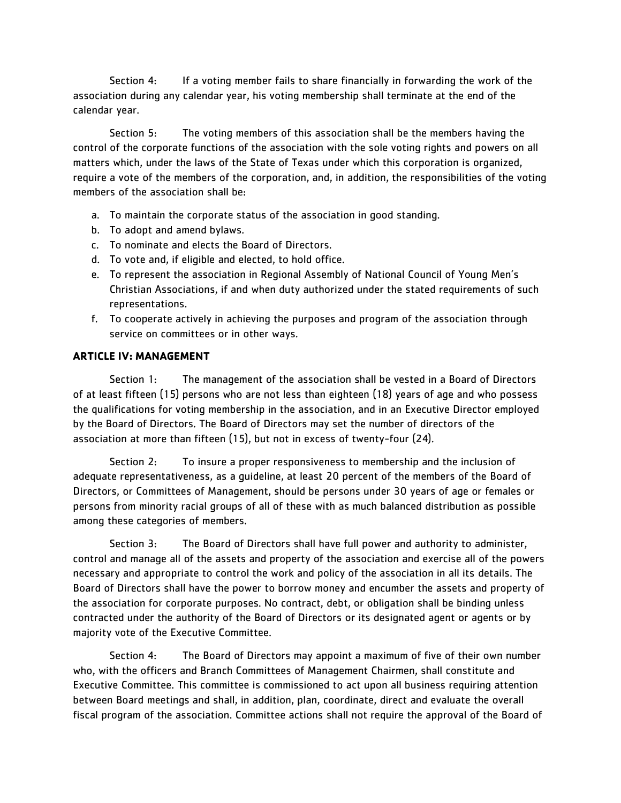Section 4: If a voting member fails to share financially in forwarding the work of the association during any calendar year, his voting membership shall terminate at the end of the calendar year.

Section 5: The voting members of this association shall be the members having the control of the corporate functions of the association with the sole voting rights and powers on all matters which, under the laws of the State of Texas under which this corporation is organized, require a vote of the members of the corporation, and, in addition, the responsibilities of the voting members of the association shall be:

- a. To maintain the corporate status of the association in good standing.
- b. To adopt and amend bylaws.
- c. To nominate and elects the Board of Directors.
- d. To vote and, if eligible and elected, to hold office.
- e. To represent the association in Regional Assembly of National Council of Young Men's Christian Associations, if and when duty authorized under the stated requirements of such representations.
- f. To cooperate actively in achieving the purposes and program of the association through service on committees or in other ways.

#### **ARTICLE IV: MANAGEMENT**

Section 1: The management of the association shall be vested in a Board of Directors of at least fifteen (15) persons who are not less than eighteen (18) years of age and who possess the qualifications for voting membership in the association, and in an Executive Director employed by the Board of Directors. The Board of Directors may set the number of directors of the association at more than fifteen (15), but not in excess of twenty-four (24).

Section 2: To insure a proper responsiveness to membership and the inclusion of adequate representativeness, as a guideline, at least 20 percent of the members of the Board of Directors, or Committees of Management, should be persons under 30 years of age or females or persons from minority racial groups of all of these with as much balanced distribution as possible among these categories of members.

Section 3: The Board of Directors shall have full power and authority to administer, control and manage all of the assets and property of the association and exercise all of the powers necessary and appropriate to control the work and policy of the association in all its details. The Board of Directors shall have the power to borrow money and encumber the assets and property of the association for corporate purposes. No contract, debt, or obligation shall be binding unless contracted under the authority of the Board of Directors or its designated agent or agents or by majority vote of the Executive Committee.

Section 4: The Board of Directors may appoint a maximum of five of their own number who, with the officers and Branch Committees of Management Chairmen, shall constitute and Executive Committee. This committee is commissioned to act upon all business requiring attention between Board meetings and shall, in addition, plan, coordinate, direct and evaluate the overall fiscal program of the association. Committee actions shall not require the approval of the Board of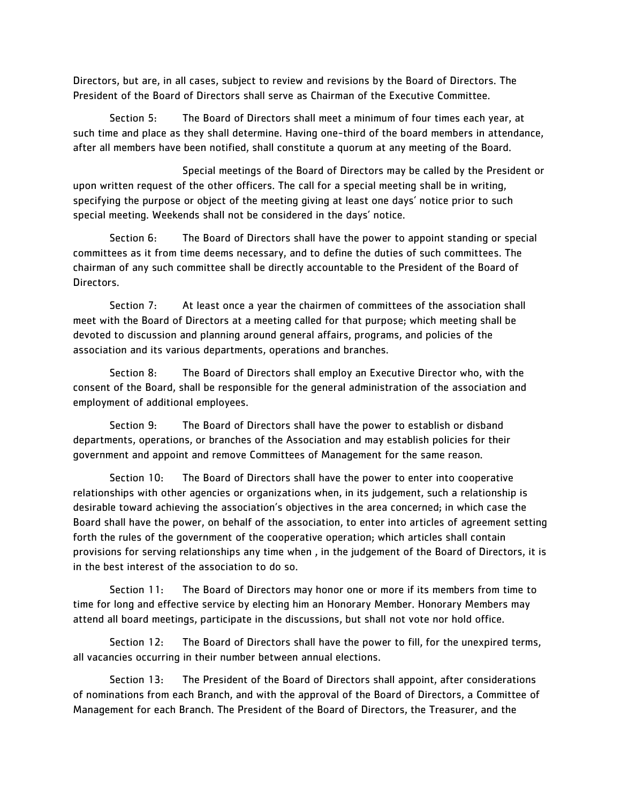Directors, but are, in all cases, subject to review and revisions by the Board of Directors. The President of the Board of Directors shall serve as Chairman of the Executive Committee.

Section 5: The Board of Directors shall meet a minimum of four times each year, at such time and place as they shall determine. Having one-third of the board members in attendance, after all members have been notified, shall constitute a quorum at any meeting of the Board.

Special meetings of the Board of Directors may be called by the President or upon written request of the other officers. The call for a special meeting shall be in writing, specifying the purpose or object of the meeting giving at least one days' notice prior to such special meeting. Weekends shall not be considered in the days' notice.

Section 6: The Board of Directors shall have the power to appoint standing or special committees as it from time deems necessary, and to define the duties of such committees. The chairman of any such committee shall be directly accountable to the President of the Board of Directors.

Section 7: At least once a year the chairmen of committees of the association shall meet with the Board of Directors at a meeting called for that purpose; which meeting shall be devoted to discussion and planning around general affairs, programs, and policies of the association and its various departments, operations and branches.

Section 8: The Board of Directors shall employ an Executive Director who, with the consent of the Board, shall be responsible for the general administration of the association and employment of additional employees.

Section 9: The Board of Directors shall have the power to establish or disband departments, operations, or branches of the Association and may establish policies for their government and appoint and remove Committees of Management for the same reason.

Section 10: The Board of Directors shall have the power to enter into cooperative relationships with other agencies or organizations when, in its judgement, such a relationship is desirable toward achieving the association's objectives in the area concerned; in which case the Board shall have the power, on behalf of the association, to enter into articles of agreement setting forth the rules of the government of the cooperative operation; which articles shall contain provisions for serving relationships any time when , in the judgement of the Board of Directors, it is in the best interest of the association to do so.

Section 11: The Board of Directors may honor one or more if its members from time to time for long and effective service by electing him an Honorary Member. Honorary Members may attend all board meetings, participate in the discussions, but shall not vote nor hold office.

Section 12: The Board of Directors shall have the power to fill, for the unexpired terms, all vacancies occurring in their number between annual elections.

Section 13: The President of the Board of Directors shall appoint, after considerations of nominations from each Branch, and with the approval of the Board of Directors, a Committee of Management for each Branch. The President of the Board of Directors, the Treasurer, and the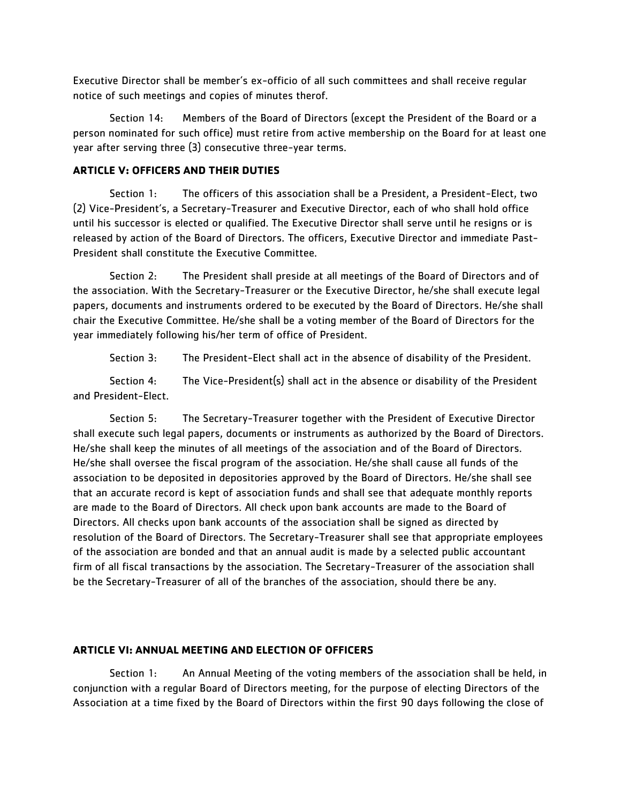Executive Director shall be member's ex-officio of all such committees and shall receive regular notice of such meetings and copies of minutes therof.

Section 14: Members of the Board of Directors (except the President of the Board or a person nominated for such office) must retire from active membership on the Board for at least one year after serving three (3) consecutive three-year terms.

# **ARTICLE V: OFFICERS AND THEIR DUTIES**

Section 1: The officers of this association shall be a President, a President-Elect, two (2) Vice-President's, a Secretary-Treasurer and Executive Director, each of who shall hold office until his successor is elected or qualified. The Executive Director shall serve until he resigns or is released by action of the Board of Directors. The officers, Executive Director and immediate Past-President shall constitute the Executive Committee.

Section 2: The President shall preside at all meetings of the Board of Directors and of the association. With the Secretary-Treasurer or the Executive Director, he/she shall execute legal papers, documents and instruments ordered to be executed by the Board of Directors. He/she shall chair the Executive Committee. He/she shall be a voting member of the Board of Directors for the year immediately following his/her term of office of President.

Section 3: The President-Elect shall act in the absence of disability of the President.

Section 4: The Vice-President(s) shall act in the absence or disability of the President and President-Elect.

Section 5: The Secretary-Treasurer together with the President of Executive Director shall execute such legal papers, documents or instruments as authorized by the Board of Directors. He/she shall keep the minutes of all meetings of the association and of the Board of Directors. He/she shall oversee the fiscal program of the association. He/she shall cause all funds of the association to be deposited in depositories approved by the Board of Directors. He/she shall see that an accurate record is kept of association funds and shall see that adequate monthly reports are made to the Board of Directors. All check upon bank accounts are made to the Board of Directors. All checks upon bank accounts of the association shall be signed as directed by resolution of the Board of Directors. The Secretary-Treasurer shall see that appropriate employees of the association are bonded and that an annual audit is made by a selected public accountant firm of all fiscal transactions by the association. The Secretary-Treasurer of the association shall be the Secretary-Treasurer of all of the branches of the association, should there be any.

# **ARTICLE VI: ANNUAL MEETING AND ELECTION OF OFFICERS**

Section 1: An Annual Meeting of the voting members of the association shall be held, in conjunction with a regular Board of Directors meeting, for the purpose of electing Directors of the Association at a time fixed by the Board of Directors within the first 90 days following the close of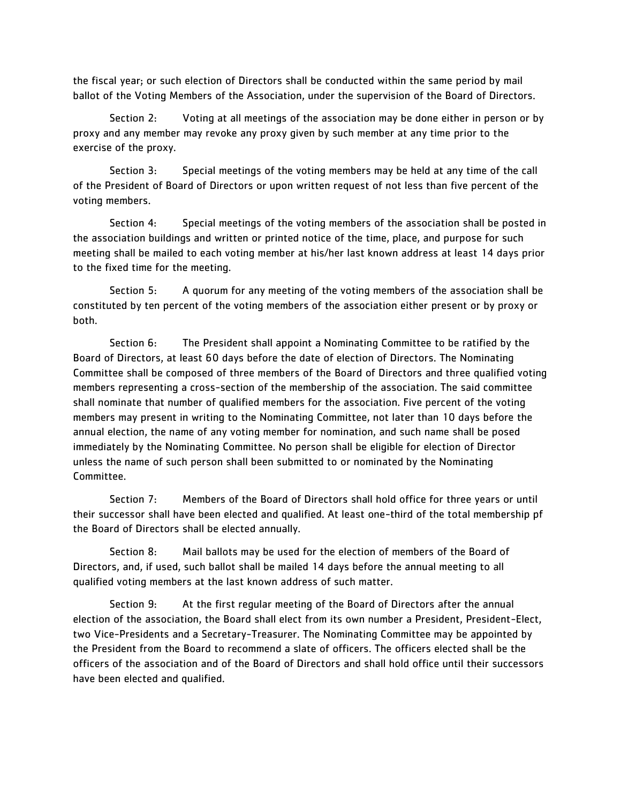the fiscal year; or such election of Directors shall be conducted within the same period by mail ballot of the Voting Members of the Association, under the supervision of the Board of Directors.

Section 2: Voting at all meetings of the association may be done either in person or by proxy and any member may revoke any proxy given by such member at any time prior to the exercise of the proxy.

Section 3: Special meetings of the voting members may be held at any time of the call of the President of Board of Directors or upon written request of not less than five percent of the voting members.

Section 4: Special meetings of the voting members of the association shall be posted in the association buildings and written or printed notice of the time, place, and purpose for such meeting shall be mailed to each voting member at his/her last known address at least 14 days prior to the fixed time for the meeting.

Section 5: A quorum for any meeting of the voting members of the association shall be constituted by ten percent of the voting members of the association either present or by proxy or both.

Section 6: The President shall appoint a Nominating Committee to be ratified by the Board of Directors, at least 60 days before the date of election of Directors. The Nominating Committee shall be composed of three members of the Board of Directors and three qualified voting members representing a cross-section of the membership of the association. The said committee shall nominate that number of qualified members for the association. Five percent of the voting members may present in writing to the Nominating Committee, not later than 10 days before the annual election, the name of any voting member for nomination, and such name shall be posed immediately by the Nominating Committee. No person shall be eligible for election of Director unless the name of such person shall been submitted to or nominated by the Nominating Committee.

Section 7: Members of the Board of Directors shall hold office for three years or until their successor shall have been elected and qualified. At least one-third of the total membership pf the Board of Directors shall be elected annually.

Section 8: Mail ballots may be used for the election of members of the Board of Directors, and, if used, such ballot shall be mailed 14 days before the annual meeting to all qualified voting members at the last known address of such matter.

Section 9: At the first regular meeting of the Board of Directors after the annual election of the association, the Board shall elect from its own number a President, President-Elect, two Vice-Presidents and a Secretary-Treasurer. The Nominating Committee may be appointed by the President from the Board to recommend a slate of officers. The officers elected shall be the officers of the association and of the Board of Directors and shall hold office until their successors have been elected and qualified.